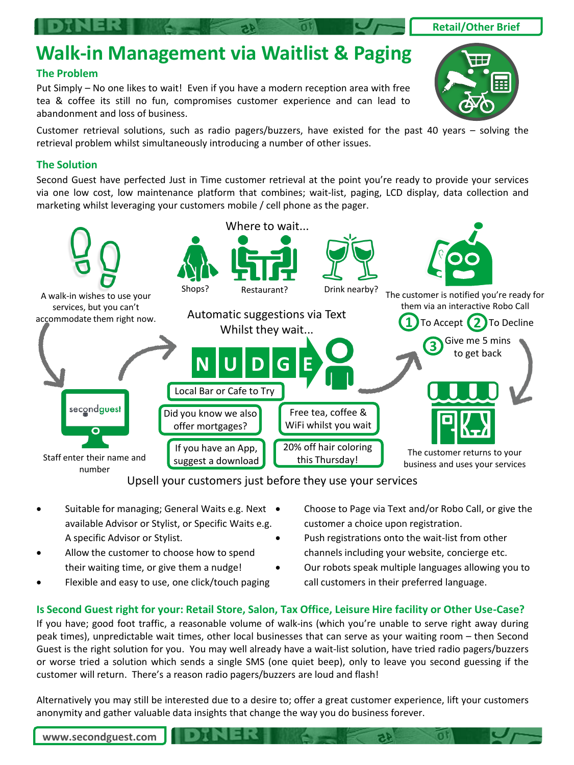### **Walk-in Management via Waitlist & Paging**

#### **The Problem**

Put Simply – No one likes to wait! Even if you have a modern reception area with free tea & coffee its still no fun, compromises customer experience and can lead to abandonment and loss of business.

Customer retrieval solutions, such as radio pagers/buzzers, have existed for the past 40 years – solving the retrieval problem whilst simultaneously introducing a number of other issues.

#### **The Solution**

Second Guest have perfected Just in Time customer retrieval at the point you're ready to provide your services via one low cost, low maintenance platform that combines; wait-list, paging, LCD display, data collection and marketing whilst leveraging your customers mobile / cell phone as the pager.



Upsell your customers just before they use your services

- Suitable for managing; General Waits e.g. Next . available Advisor or Stylist, or Specific Waits e.g. A specific Advisor or Stylist.
- Allow the customer to choose how to spend their waiting time, or give them a nudge!
- Flexible and easy to use, one click/touch paging
- Choose to Page via Text and/or Robo Call, or give the customer a choice upon registration.
- Push registrations onto the wait-list from other channels including your website, concierge etc.
- Our robots speak multiple languages allowing you to call customers in their preferred language.

#### **Is Second Guest right for your: Retail Store, Salon, Tax Office, Leisure Hire facility or Other Use-Case?**

If you have; good foot traffic, a reasonable volume of walk-ins (which you're unable to serve right away during peak times), unpredictable wait times, other local businesses that can serve as your waiting room – then Second Guest is the right solution for you. You may well already have a wait-list solution, have tried radio pagers/buzzers or worse tried a solution which sends a single SMS (one quiet beep), only to leave you second guessing if the customer will return. There's a reason radio pagers/buzzers are loud and flash!

Alternatively you may still be interested due to a desire to; offer a great customer experience, lift your customers anonymity and gather valuable data insights that change the way you do business forever.

**www.secondguest.com**